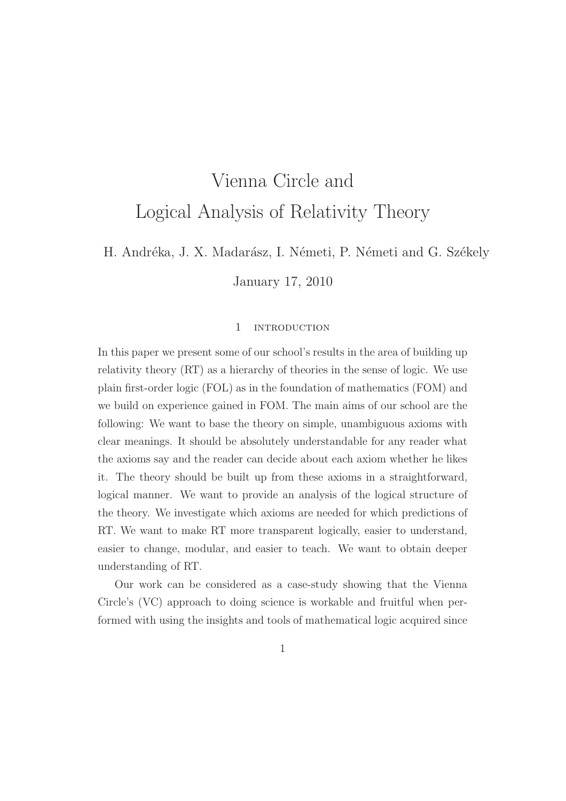# Vienna Circle and Logical Analysis of Relativity Theory

H. Andréka, J. X. Madarász, I. Németi, P. Németi and G. Székely

January 17, 2010

#### 1 introduction

In this paper we present some of our school's results in the area of building up relativity theory (RT) as a hierarchy of theories in the sense of logic. We use plain first-order logic (FOL) as in the foundation of mathematics (FOM) and we build on experience gained in FOM. The main aims of our school are the following: We want to base the theory on simple, unambiguous axioms with clear meanings. It should be absolutely understandable for any reader what the axioms say and the reader can decide about each axiom whether he likes it. The theory should be built up from these axioms in a straightforward, logical manner. We want to provide an analysis of the logical structure of the theory. We investigate which axioms are needed for which predictions of RT. We want to make RT more transparent logically, easier to understand, easier to change, modular, and easier to teach. We want to obtain deeper understanding of RT.

Our work can be considered as a case-study showing that the Vienna Circle's (VC) approach to doing science is workable and fruitful when performed with using the insights and tools of mathematical logic acquired since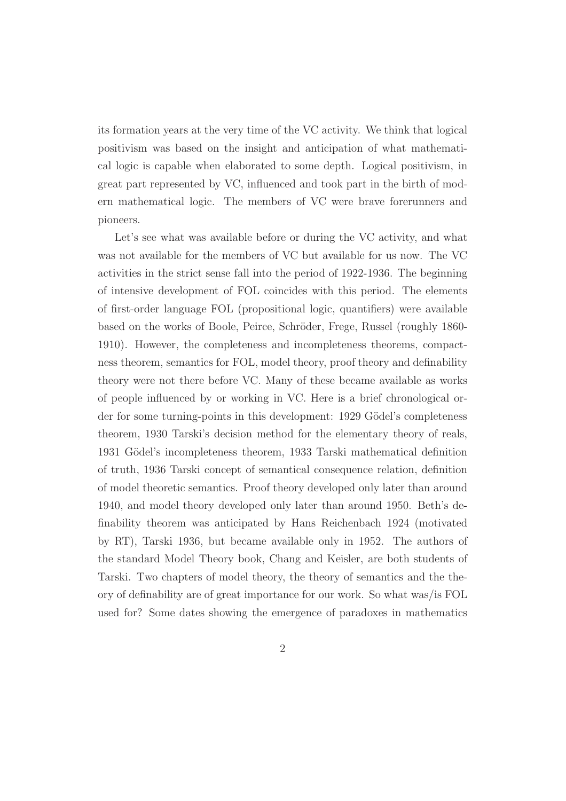its formation years at the very time of the VC activity. We think that logical positivism was based on the insight and anticipation of what mathematical logic is capable when elaborated to some depth. Logical positivism, in great part represented by VC, influenced and took part in the birth of modern mathematical logic. The members of VC were brave forerunners and pioneers.

Let's see what was available before or during the VC activity, and what was not available for the members of VC but available for us now. The VC activities in the strict sense fall into the period of 1922-1936. The beginning of intensive development of FOL coincides with this period. The elements of first-order language FOL (propositional logic, quantifiers) were available based on the works of Boole, Peirce, Schröder, Frege, Russel (roughly 1860-1910). However, the completeness and incompleteness theorems, compactness theorem, semantics for FOL, model theory, proof theory and definability theory were not there before VC. Many of these became available as works of people influenced by or working in VC. Here is a brief chronological order for some turning-points in this development: 1929 Gödel's completeness theorem, 1930 Tarski's decision method for the elementary theory of reals, 1931 Gödel's incompleteness theorem, 1933 Tarski mathematical definition of truth, 1936 Tarski concept of semantical consequence relation, definition of model theoretic semantics. Proof theory developed only later than around 1940, and model theory developed only later than around 1950. Beth's definability theorem was anticipated by Hans Reichenbach 1924 (motivated by RT), Tarski 1936, but became available only in 1952. The authors of the standard Model Theory book, Chang and Keisler, are both students of Tarski. Two chapters of model theory, the theory of semantics and the theory of definability are of great importance for our work. So what was/is FOL used for? Some dates showing the emergence of paradoxes in mathematics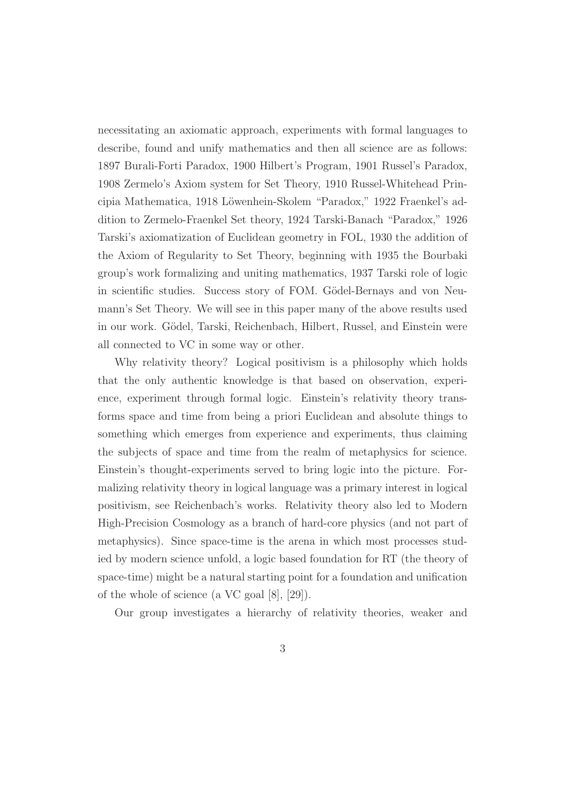necessitating an axiomatic approach, experiments with formal languages to describe, found and unify mathematics and then all science are as follows: 1897 Burali-Forti Paradox, 1900 Hilbert's Program, 1901 Russel's Paradox, 1908 Zermelo's Axiom system for Set Theory, 1910 Russel-Whitehead Principia Mathematica, 1918 Löwenhein-Skolem "Paradox," 1922 Fraenkel's addition to Zermelo-Fraenkel Set theory, 1924 Tarski-Banach "Paradox," 1926 Tarski's axiomatization of Euclidean geometry in FOL, 1930 the addition of the Axiom of Regularity to Set Theory, beginning with 1935 the Bourbaki group's work formalizing and uniting mathematics, 1937 Tarski role of logic in scientific studies. Success story of FOM. Gödel-Bernays and von Neumann's Set Theory. We will see in this paper many of the above results used in our work. Gödel, Tarski, Reichenbach, Hilbert, Russel, and Einstein were all connected to VC in some way or other.

Why relativity theory? Logical positivism is a philosophy which holds that the only authentic knowledge is that based on observation, experience, experiment through formal logic. Einstein's relativity theory transforms space and time from being a priori Euclidean and absolute things to something which emerges from experience and experiments, thus claiming the subjects of space and time from the realm of metaphysics for science. Einstein's thought-experiments served to bring logic into the picture. Formalizing relativity theory in logical language was a primary interest in logical positivism, see Reichenbach's works. Relativity theory also led to Modern High-Precision Cosmology as a branch of hard-core physics (and not part of metaphysics). Since space-time is the arena in which most processes studied by modern science unfold, a logic based foundation for RT (the theory of space-time) might be a natural starting point for a foundation and unification of the whole of science (a VC goal [8], [29]).

Our group investigates a hierarchy of relativity theories, weaker and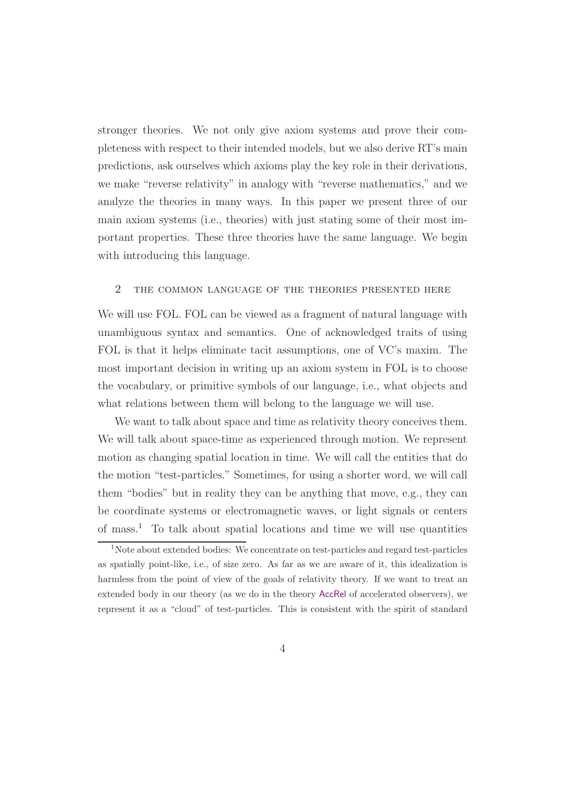stronger theories. We not only give axiom systems and prove their completeness with respect to their intended models, but we also derive RT's main predictions, ask ourselves which axioms play the key role in their derivations, we make "reverse relativity" in analogy with "reverse mathematics," and we analyze the theories in many ways. In this paper we present three of our main axiom systems (i.e., theories) with just stating some of their most important properties. These three theories have the same language. We begin with introducing this language.

# 2 the common language of the theories presented here

We will use FOL. FOL can be viewed as a fragment of natural language with unambiguous syntax and semantics. One of acknowledged traits of using FOL is that it helps eliminate tacit assumptions, one of VC's maxim. The most important decision in writing up an axiom system in FOL is to choose the vocabulary, or primitive symbols of our language, i.e., what objects and what relations between them will belong to the language we will use.

We want to talk about space and time as relativity theory conceives them. We will talk about space-time as experienced through motion. We represent motion as changing spatial location in time. We will call the entities that do the motion "test-particles." Sometimes, for using a shorter word, we will call them "bodies" but in reality they can be anything that move, e.g., they can be coordinate systems or electromagnetic waves, or light signals or centers of mass.<sup>1</sup> To talk about spatial locations and time we will use quantities

<sup>&</sup>lt;sup>1</sup>Note about extended bodies: We concentrate on test-particles and regard test-particles as spatially point-like, i.e., of size zero. As far as we are aware of it, this idealization is harmless from the point of view of the goals of relativity theory. If we want to treat an extended body in our theory (as we do in the theory AccRel of accelerated observers), we represent it as a "cloud" of test-particles. This is consistent with the spirit of standard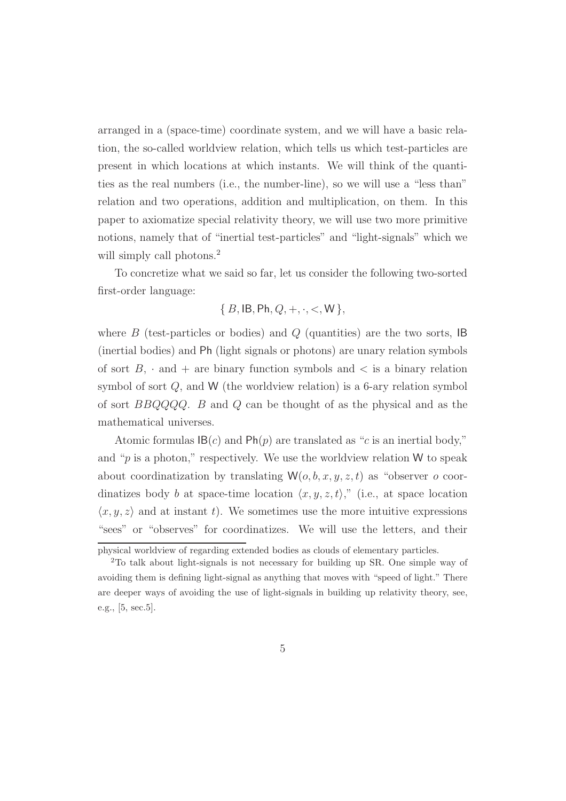arranged in a (space-time) coordinate system, and we will have a basic relation, the so-called worldview relation, which tells us which test-particles are present in which locations at which instants. We will think of the quantities as the real numbers (i.e., the number-line), so we will use a "less than" relation and two operations, addition and multiplication, on them. In this paper to axiomatize special relativity theory, we will use two more primitive notions, namely that of "inertial test-particles" and "light-signals" which we will simply call photons.<sup>2</sup>

To concretize what we said so far, let us consider the following two-sorted first-order language:

$$
\{B, \mathsf{IB}, \mathsf{Ph}, Q, +, \cdot, <, \mathsf{W}\},
$$

where  $B$  (test-particles or bodies) and  $Q$  (quantities) are the two sorts, IB (inertial bodies) and Ph (light signals or photons) are unary relation symbols of sort  $B$ ,  $\cdot$  and  $+$  are binary function symbols and  $\lt$  is a binary relation symbol of sort Q, and W (the worldview relation) is a 6-ary relation symbol of sort BBQQQQ. B and Q can be thought of as the physical and as the mathematical universes.

Atomic formulas  $\mathsf{IB}(c)$  and  $\mathsf{Ph}(p)$  are translated as "c is an inertial body," and " $p$  is a photon," respectively. We use the worldview relation W to speak about coordinatization by translating  $W(o, b, x, y, z, t)$  as "observer o coordinatizes body b at space-time location  $\langle x, y, z, t \rangle$ ," (i.e., at space location  $\langle x, y, z \rangle$  and at instant t). We sometimes use the more intuitive expressions "sees" or "observes" for coordinatizes. We will use the letters, and their

physical worldview of regarding extended bodies as clouds of elementary particles.

<sup>2</sup>To talk about light-signals is not necessary for building up SR. One simple way of avoiding them is defining light-signal as anything that moves with "speed of light." There are deeper ways of avoiding the use of light-signals in building up relativity theory, see, e.g., [5, sec.5].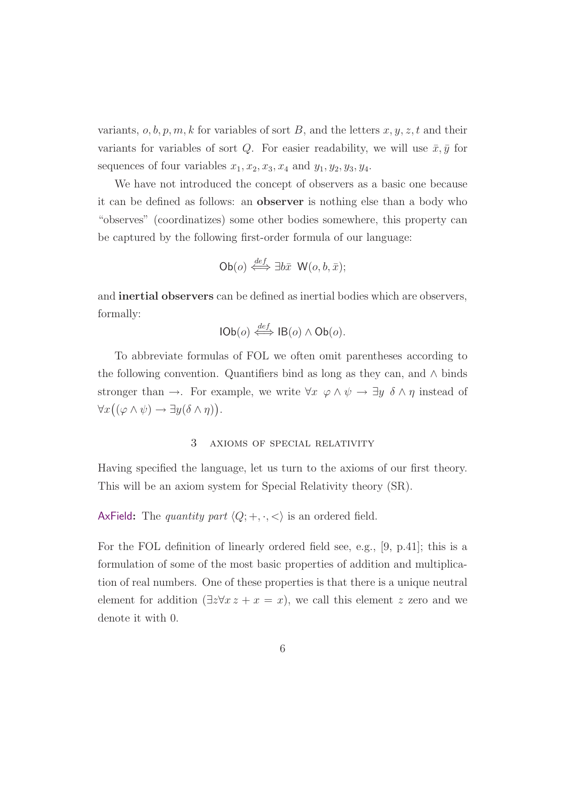variants,  $o, b, p, m, k$  for variables of sort B, and the letters  $x, y, z, t$  and their variants for variables of sort Q. For easier readability, we will use  $\bar{x}, \bar{y}$  for sequences of four variables  $x_1, x_2, x_3, x_4$  and  $y_1, y_2, y_3, y_4$ .

We have not introduced the concept of observers as a basic one because it can be defined as follows: an observer is nothing else than a body who "observes" (coordinatizes) some other bodies somewhere, this property can be captured by the following first-order formula of our language:

Ob(*o*) 
$$
\stackrel{def}{\iff} \exists b\bar{x} \ W(o, b, \bar{x});
$$

and inertial observers can be defined as inertial bodies which are observers, formally:

$$
\mathsf{IOb}(o) \stackrel{\text{def}}{\iff} \mathsf{IB}(o) \land \mathsf{Ob}(o).
$$

To abbreviate formulas of FOL we often omit parentheses according to the following convention. Quantifiers bind as long as they can, and  $\wedge$  binds stronger than →. For example, we write  $\forall x \varphi \land \psi \rightarrow \exists y \delta \land \eta$  instead of  $\forall x((\varphi \wedge \psi) \rightarrow \exists y(\delta \wedge \eta)).$ 

## 3 axioms of special relativity

Having specified the language, let us turn to the axioms of our first theory. This will be an axiom system for Special Relativity theory (SR).

AxField: The quantity part  $\langle Q; +, \cdot, \lt \rangle$  is an ordered field.

For the FOL definition of linearly ordered field see, e.g., [9, p.41]; this is a formulation of some of the most basic properties of addition and multiplication of real numbers. One of these properties is that there is a unique neutral element for addition  $(\exists z \forall x z + x = x)$ , we call this element z zero and we denote it with 0.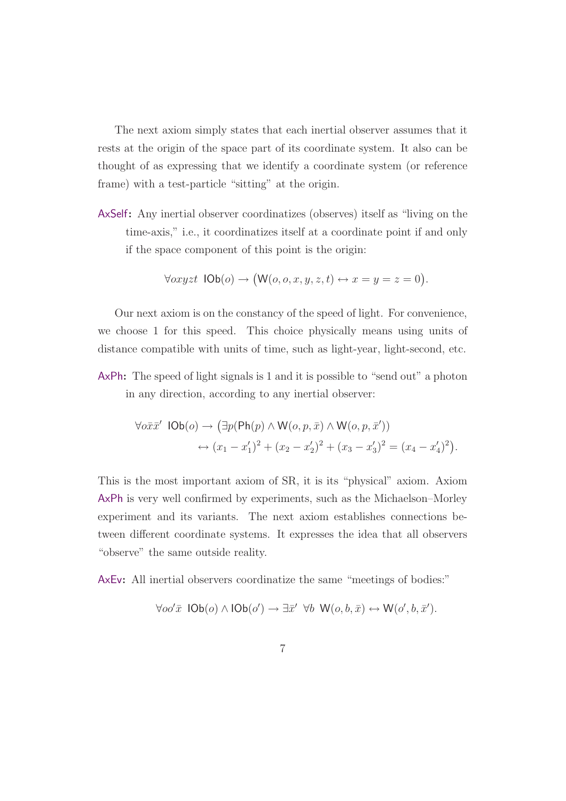The next axiom simply states that each inertial observer assumes that it rests at the origin of the space part of its coordinate system. It also can be thought of as expressing that we identify a coordinate system (or reference frame) with a test-particle "sitting" at the origin.

AxSelf: Any inertial observer coordinatizes (observes) itself as "living on the time-axis," i.e., it coordinatizes itself at a coordinate point if and only if the space component of this point is the origin:

$$
\forall cxyzt \ \mathsf{IOb}(o) \rightarrow (\mathsf{W}(o,o,x,y,z,t) \leftrightarrow x=y=z=0).
$$

Our next axiom is on the constancy of the speed of light. For convenience, we choose 1 for this speed. This choice physically means using units of distance compatible with units of time, such as light-year, light-second, etc.

AxPh: The speed of light signals is 1 and it is possible to "send out" a photon in any direction, according to any inertial observer:

$$
\begin{aligned} \forall o\bar{x}\bar{x}' \ \mathsf{IOb}(o) &\rightarrow \left(\exists p(\mathsf{Ph}(p) \land \mathsf{W}(o, p, \bar{x}) \land \mathsf{W}(o, p, \bar{x}')\right) \\ &\leftrightarrow (x_1 - x_1')^2 + (x_2 - x_2')^2 + (x_3 - x_3')^2 = (x_4 - x_4')^2\right). \end{aligned}
$$

This is the most important axiom of SR, it is its "physical" axiom. Axiom AxPh is very well confirmed by experiments, such as the Michaelson–Morley experiment and its variants. The next axiom establishes connections between different coordinate systems. It expresses the idea that all observers "observe" the same outside reality.

AxEv: All inertial observers coordinatize the same "meetings of bodies:"

$$
\forall oo'\bar{x} \ \mathsf{IOb}(o) \land \mathsf{IOb}(o') \rightarrow \exists \bar{x}' \ \forall b \ \mathsf{W}(o,b,\bar{x}) \leftrightarrow \mathsf{W}(o',b,\bar{x}').
$$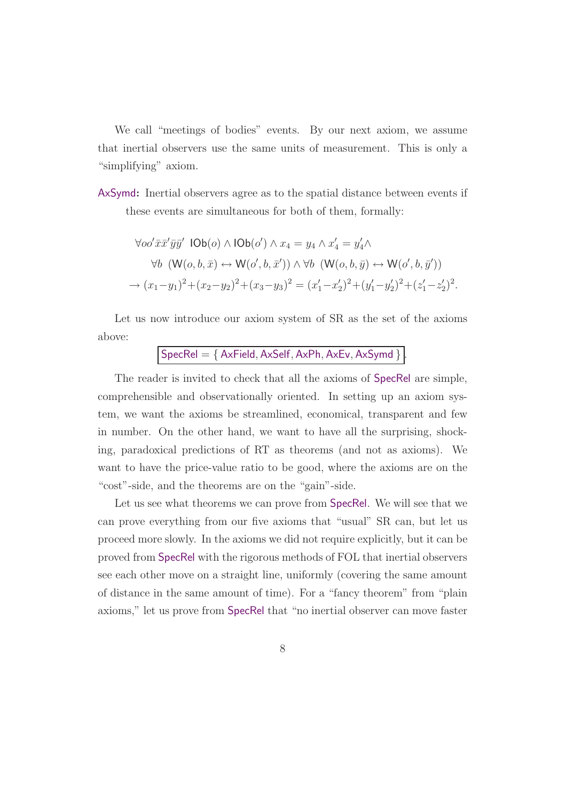We call "meetings of bodies" events. By our next axiom, we assume that inertial observers use the same units of measurement. This is only a "simplifying" axiom.

AxSymd: Inertial observers agree as to the spatial distance between events if these events are simultaneous for both of them, formally:

$$
\forall oo'\bar{x}\bar{x}'\bar{y}\bar{y}'\ \text{IOb}(o) \land \text{IOb}(o') \land x_4 = y_4 \land x'_4 = y'_4 \land
$$

$$
\forall b \ (\mathsf{W}(o, b, \bar{x}) \leftrightarrow \mathsf{W}(o', b, \bar{x}')) \land \forall b \ (\mathsf{W}(o, b, \bar{y}) \leftrightarrow \mathsf{W}(o', b, \bar{y}'))
$$

$$
\rightarrow (x_1 - y_1)^2 + (x_2 - y_2)^2 + (x_3 - y_3)^2 = (x'_1 - x'_2)^2 + (y'_1 - y'_2)^2 + (z'_1 - z'_2)^2.
$$

Let us now introduce our axiom system of SR as the set of the axioms above:

 $SpecRel = \{ AxField, AxSelf, AxPh, AxEv, AxSymd \}.$ 

The reader is invited to check that all the axioms of SpecRel are simple, comprehensible and observationally oriented. In setting up an axiom system, we want the axioms be streamlined, economical, transparent and few in number. On the other hand, we want to have all the surprising, shocking, paradoxical predictions of RT as theorems (and not as axioms). We want to have the price-value ratio to be good, where the axioms are on the "cost"-side, and the theorems are on the "gain"-side.

Let us see what theorems we can prove from SpecRel. We will see that we can prove everything from our five axioms that "usual" SR can, but let us proceed more slowly. In the axioms we did not require explicitly, but it can be proved from SpecRel with the rigorous methods of FOL that inertial observers see each other move on a straight line, uniformly (covering the same amount of distance in the same amount of time). For a "fancy theorem" from "plain axioms," let us prove from SpecRel that "no inertial observer can move faster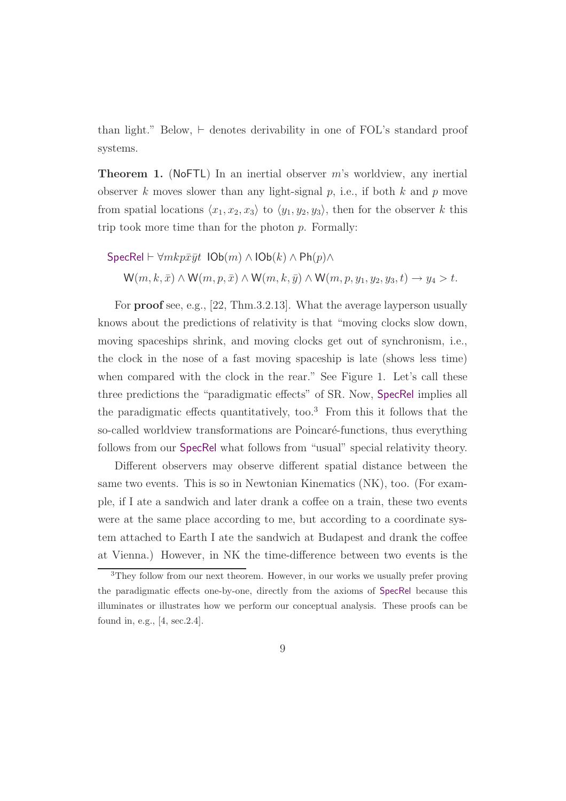than light." Below, ⊢ denotes derivability in one of FOL's standard proof systems.

**Theorem 1.** (NoFTL) In an inertial observer  $m$ 's worldview, any inertial observer k moves slower than any light-signal  $p$ , i.e., if both  $k$  and  $p$  move from spatial locations  $\langle x_1, x_2, x_3 \rangle$  to  $\langle y_1, y_2, y_3 \rangle$ , then for the observer k this trip took more time than for the photon  $p$ . Formally:

$$
\begin{aligned} \mathsf{SpecRel}\vdash \forall mkp\bar{x}\bar{y}t \ \ \mathsf{IOb}(m)\wedge \mathsf{IOb}(k)\wedge \mathsf{Ph}(p)\wedge \\ \mathsf{W}(m,k,\bar{x})\wedge \mathsf{W}(m,p,\bar{x})\wedge \mathsf{W}(m,k,\bar{y})\wedge \mathsf{W}(m,p,y_1,y_2,y_3,t)\rightarrow y_4 > t. \end{aligned}
$$

For proof see, e.g., [22, Thm.3.2.13]. What the average layperson usually knows about the predictions of relativity is that "moving clocks slow down, moving spaceships shrink, and moving clocks get out of synchronism, i.e., the clock in the nose of a fast moving spaceship is late (shows less time) when compared with the clock in the rear." See Figure 1. Let's call these three predictions the "paradigmatic effects" of SR. Now, SpecRel implies all the paradigmatic effects quantitatively, too.<sup>3</sup> From this it follows that the so-called worldview transformations are Poincaré-functions, thus everything follows from our SpecRel what follows from "usual" special relativity theory.

Different observers may observe different spatial distance between the same two events. This is so in Newtonian Kinematics (NK), too. (For example, if I ate a sandwich and later drank a coffee on a train, these two events were at the same place according to me, but according to a coordinate system attached to Earth I ate the sandwich at Budapest and drank the coffee at Vienna.) However, in NK the time-difference between two events is the

<sup>3</sup>They follow from our next theorem. However, in our works we usually prefer proving the paradigmatic effects one-by-one, directly from the axioms of SpecRel because this illuminates or illustrates how we perform our conceptual analysis. These proofs can be found in, e.g., [4, sec.2.4].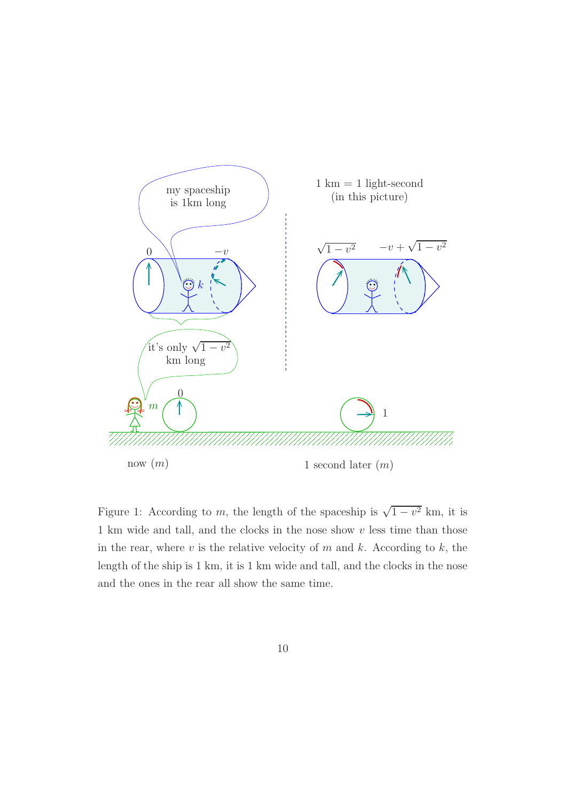

Figure 1: According to m, the length of the spaceship is  $\sqrt{1-v^2}$  km, it is 1 km wide and tall, and the clocks in the nose show  $v$  less time than those in the rear, where  $v$  is the relative velocity of  $m$  and  $k$ . According to  $k$ , the length of the ship is 1 km, it is 1 km wide and tall, and the clocks in the nose and the ones in the rear all show the same time.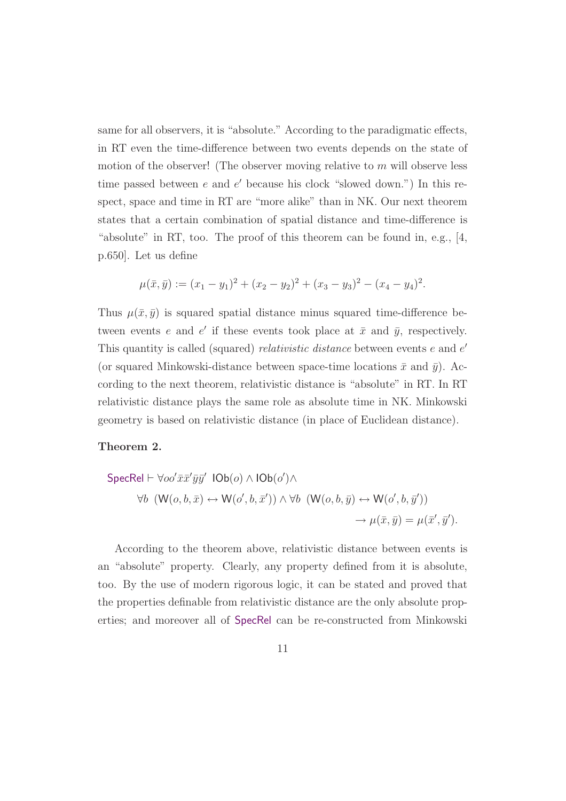same for all observers, it is "absolute." According to the paradigmatic effects, in RT even the time-difference between two events depends on the state of motion of the observer! (The observer moving relative to  $m$  will observe less time passed between  $e$  and  $e'$  because his clock "slowed down.") In this respect, space and time in RT are "more alike" than in NK. Our next theorem states that a certain combination of spatial distance and time-difference is "absolute" in RT, too. The proof of this theorem can be found in, e.g., [4,] p.650]. Let us define

$$
\mu(\bar{x}, \bar{y}) := (x_1 - y_1)^2 + (x_2 - y_2)^2 + (x_3 - y_3)^2 - (x_4 - y_4)^2.
$$

Thus  $\mu(\bar{x}, \bar{y})$  is squared spatial distance minus squared time-difference between events e and e' if these events took place at  $\bar{x}$  and  $\bar{y}$ , respectively. This quantity is called (squared) *relativistic distance* between events e and e' (or squared Minkowski-distance between space-time locations  $\bar{x}$  and  $\bar{y}$ ). According to the next theorem, relativistic distance is "absolute" in RT. In RT relativistic distance plays the same role as absolute time in NK. Minkowski geometry is based on relativistic distance (in place of Euclidean distance).

#### Theorem 2.

$$
\begin{aligned} \mathsf{SpecRel} \vdash \forall oo' \bar{x}\bar{x}'\bar{y}\bar{y}' \ \mathsf{IOb}(o) \land \mathsf{IOb}(o') \land \\ \forall b \ \ (\mathsf{W}(o, b, \bar{x}) \leftrightarrow \mathsf{W}(o', b, \bar{x}') \land \forall b \ \ (\mathsf{W}(o, b, \bar{y}) \leftrightarrow \mathsf{W}(o', b, \bar{y}')) \\ \rightarrow \mu(\bar{x}, \bar{y}) = \mu(\bar{x}', \bar{y}'). \end{aligned}
$$

According to the theorem above, relativistic distance between events is an "absolute" property. Clearly, any property defined from it is absolute, too. By the use of modern rigorous logic, it can be stated and proved that the properties definable from relativistic distance are the only absolute properties; and moreover all of SpecRel can be re-constructed from Minkowski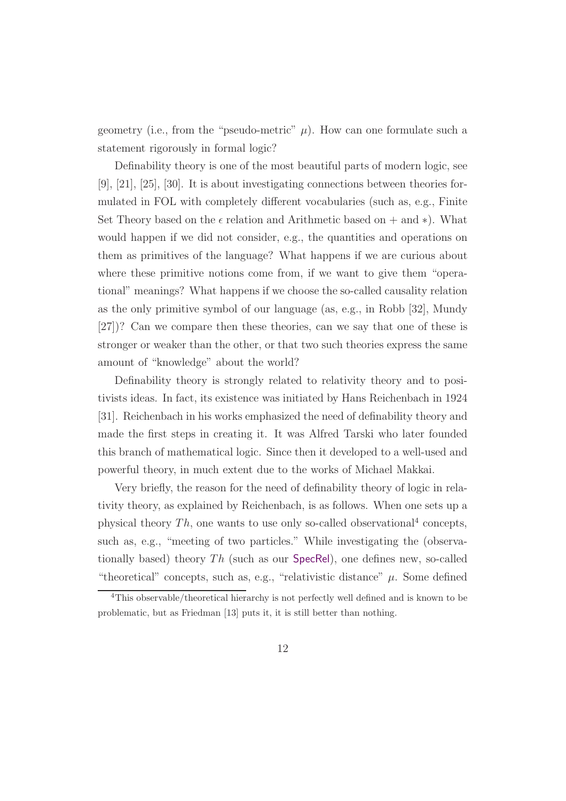geometry (i.e., from the "pseudo-metric"  $\mu$ ). How can one formulate such a statement rigorously in formal logic?

Definability theory is one of the most beautiful parts of modern logic, see [9], [21], [25], [30]. It is about investigating connections between theories formulated in FOL with completely different vocabularies (such as, e.g., Finite Set Theory based on the  $\epsilon$  relation and Arithmetic based on  $+$  and  $*$ ). What would happen if we did not consider, e.g., the quantities and operations on them as primitives of the language? What happens if we are curious about where these primitive notions come from, if we want to give them "operational" meanings? What happens if we choose the so-called causality relation as the only primitive symbol of our language (as, e.g., in Robb [32], Mundy [27])? Can we compare then these theories, can we say that one of these is stronger or weaker than the other, or that two such theories express the same amount of "knowledge" about the world?

Definability theory is strongly related to relativity theory and to positivists ideas. In fact, its existence was initiated by Hans Reichenbach in 1924 [31]. Reichenbach in his works emphasized the need of definability theory and made the first steps in creating it. It was Alfred Tarski who later founded this branch of mathematical logic. Since then it developed to a well-used and powerful theory, in much extent due to the works of Michael Makkai.

Very briefly, the reason for the need of definability theory of logic in relativity theory, as explained by Reichenbach, is as follows. When one sets up a physical theory  $Th$ , one wants to use only so-called observational<sup>4</sup> concepts, such as, e.g., "meeting of two particles." While investigating the (observationally based) theory  $Th$  (such as our SpecRel), one defines new, so-called "theoretical" concepts, such as, e.g., "relativistic distance"  $\mu$ . Some defined

<sup>4</sup>This observable/theoretical hierarchy is not perfectly well defined and is known to be problematic, but as Friedman [13] puts it, it is still better than nothing.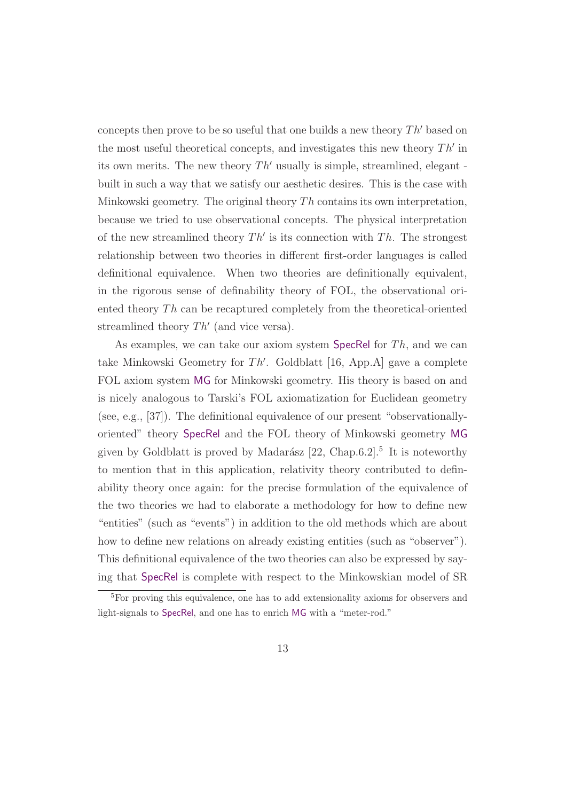concepts then prove to be so useful that one builds a new theory  $Th'$  based on the most useful theoretical concepts, and investigates this new theory  $Th'$  in its own merits. The new theory  $Th'$  usually is simple, streamlined, elegant built in such a way that we satisfy our aesthetic desires. This is the case with Minkowski geometry. The original theory  $Th$  contains its own interpretation, because we tried to use observational concepts. The physical interpretation of the new streamlined theory  $Th'$  is its connection with  $Th$ . The strongest relationship between two theories in different first-order languages is called definitional equivalence. When two theories are definitionally equivalent, in the rigorous sense of definability theory of FOL, the observational oriented theory Th can be recaptured completely from the theoretical-oriented streamlined theory  $Th'$  (and vice versa).

As examples, we can take our axiom system SpecRel for  $Th$ , and we can take Minkowski Geometry for Th′ . Goldblatt [16, App.A] gave a complete FOL axiom system MG for Minkowski geometry. His theory is based on and is nicely analogous to Tarski's FOL axiomatization for Euclidean geometry (see, e.g., [37]). The definitional equivalence of our present "observationallyoriented" theory SpecRel and the FOL theory of Minkowski geometry MG given by Goldblatt is proved by Madarász  $[22,$  Chap.6.2].<sup>5</sup> It is noteworthy to mention that in this application, relativity theory contributed to definability theory once again: for the precise formulation of the equivalence of the two theories we had to elaborate a methodology for how to define new "entities" (such as "events") in addition to the old methods which are about how to define new relations on already existing entities (such as "observer"). This definitional equivalence of the two theories can also be expressed by saying that SpecRel is complete with respect to the Minkowskian model of SR

<sup>5</sup>For proving this equivalence, one has to add extensionality axioms for observers and light-signals to SpecRel, and one has to enrich MG with a "meter-rod."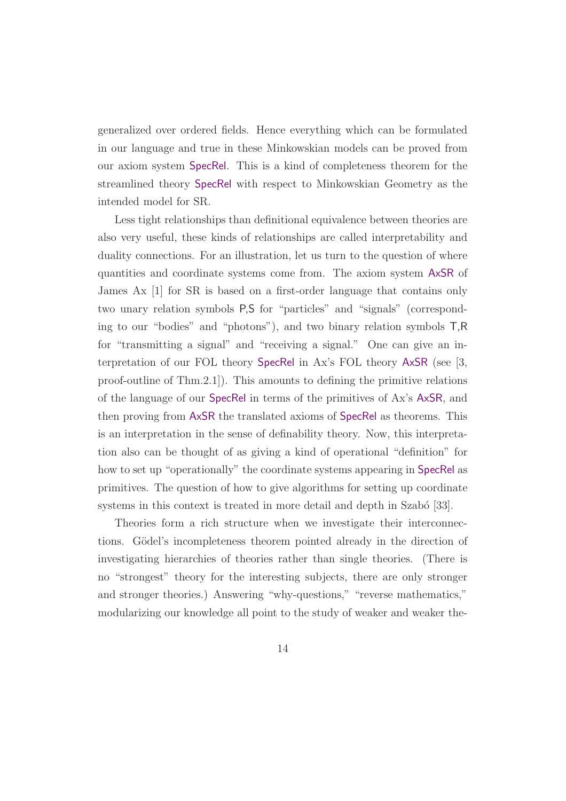generalized over ordered fields. Hence everything which can be formulated in our language and true in these Minkowskian models can be proved from our axiom system SpecRel. This is a kind of completeness theorem for the streamlined theory SpecRel with respect to Minkowskian Geometry as the intended model for SR.

Less tight relationships than definitional equivalence between theories are also very useful, these kinds of relationships are called interpretability and duality connections. For an illustration, let us turn to the question of where quantities and coordinate systems come from. The axiom system AxSR of James Ax [1] for SR is based on a first-order language that contains only two unary relation symbols P,S for "particles" and "signals" (corresponding to our "bodies" and "photons"), and two binary relation symbols T,R for "transmitting a signal" and "receiving a signal." One can give an interpretation of our FOL theory SpecRel in Ax's FOL theory AxSR (see [3, proof-outline of Thm.2.1]). This amounts to defining the primitive relations of the language of our SpecRel in terms of the primitives of Ax's AxSR, and then proving from AxSR the translated axioms of SpecRel as theorems. This is an interpretation in the sense of definability theory. Now, this interpretation also can be thought of as giving a kind of operational "definition" for how to set up "operationally" the coordinate systems appearing in SpecRel as primitives. The question of how to give algorithms for setting up coordinate systems in this context is treated in more detail and depth in Szabó [33].

Theories form a rich structure when we investigate their interconnections. Gödel's incompleteness theorem pointed already in the direction of investigating hierarchies of theories rather than single theories. (There is no "strongest" theory for the interesting subjects, there are only stronger and stronger theories.) Answering "why-questions," "reverse mathematics," modularizing our knowledge all point to the study of weaker and weaker the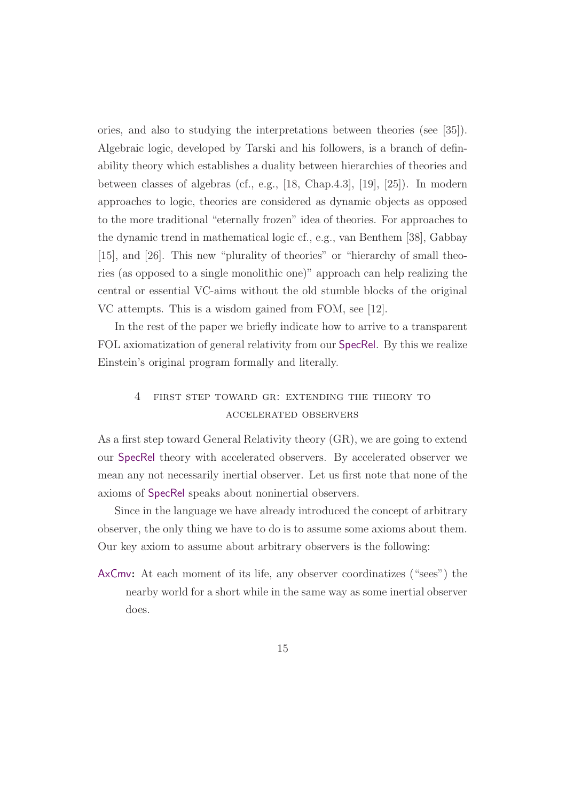ories, and also to studying the interpretations between theories (see [35]). Algebraic logic, developed by Tarski and his followers, is a branch of definability theory which establishes a duality between hierarchies of theories and between classes of algebras (cf., e.g., [18, Chap.4.3], [19], [25]). In modern approaches to logic, theories are considered as dynamic objects as opposed to the more traditional "eternally frozen" idea of theories. For approaches to the dynamic trend in mathematical logic cf., e.g., van Benthem [38], Gabbay [15], and [26]. This new "plurality of theories" or "hierarchy of small theories (as opposed to a single monolithic one)" approach can help realizing the central or essential VC-aims without the old stumble blocks of the original VC attempts. This is a wisdom gained from FOM, see [12].

In the rest of the paper we briefly indicate how to arrive to a transparent FOL axiomatization of general relativity from our SpecRel. By this we realize Einstein's original program formally and literally.

# 4 first step toward gr: extending the theory to accelerated observers

As a first step toward General Relativity theory (GR), we are going to extend our SpecRel theory with accelerated observers. By accelerated observer we mean any not necessarily inertial observer. Let us first note that none of the axioms of SpecRel speaks about noninertial observers.

Since in the language we have already introduced the concept of arbitrary observer, the only thing we have to do is to assume some axioms about them. Our key axiom to assume about arbitrary observers is the following:

AxCmv: At each moment of its life, any observer coordinatizes ("sees") the nearby world for a short while in the same way as some inertial observer does.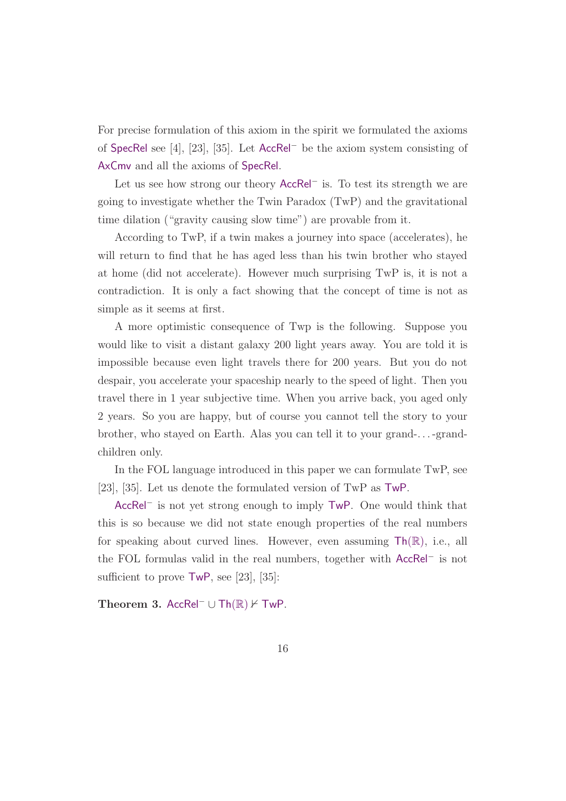For precise formulation of this axiom in the spirit we formulated the axioms of SpecRel see [4], [23], [35]. Let AccRel<sup>−</sup> be the axiom system consisting of AxCmv and all the axioms of SpecRel.

Let us see how strong our theory AccRel<sup>−</sup> is. To test its strength we are going to investigate whether the Twin Paradox (TwP) and the gravitational time dilation ("gravity causing slow time") are provable from it.

According to TwP, if a twin makes a journey into space (accelerates), he will return to find that he has aged less than his twin brother who stayed at home (did not accelerate). However much surprising TwP is, it is not a contradiction. It is only a fact showing that the concept of time is not as simple as it seems at first.

A more optimistic consequence of Twp is the following. Suppose you would like to visit a distant galaxy 200 light years away. You are told it is impossible because even light travels there for 200 years. But you do not despair, you accelerate your spaceship nearly to the speed of light. Then you travel there in 1 year subjective time. When you arrive back, you aged only 2 years. So you are happy, but of course you cannot tell the story to your brother, who stayed on Earth. Alas you can tell it to your grand-. . . -grandchildren only.

In the FOL language introduced in this paper we can formulate TwP, see [23], [35]. Let us denote the formulated version of TwP as TwP.

AccRel<sup>−</sup> is not yet strong enough to imply TwP. One would think that this is so because we did not state enough properties of the real numbers for speaking about curved lines. However, even assuming  $\mathsf{Th}(\mathbb{R})$ , i.e., all the FOL formulas valid in the real numbers, together with AccRel<sup>−</sup> is not sufficient to prove TwP, see [23], [35]:

Theorem 3. AccRel<sup>-</sup> ∪ Th( $\mathbb{R}$ )  $\neq$  TwP.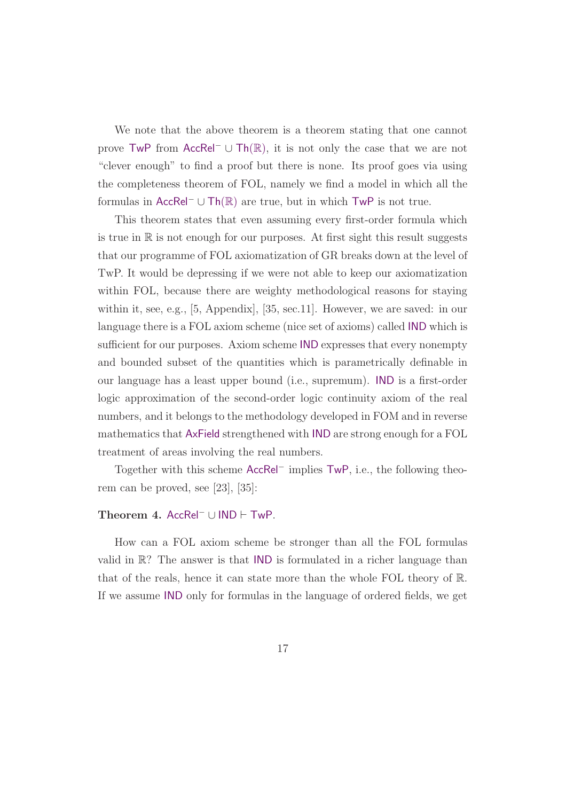We note that the above theorem is a theorem stating that one cannot prove TwP from AccRel<sup>−</sup> <sup>∪</sup> Th(R), it is not only the case that we are not "clever enough" to find a proof but there is none. Its proof goes via using the completeness theorem of FOL, namely we find a model in which all the formulas in AccRel<sup>−</sup> <sup>∪</sup> Th(R) are true, but in which TwP is not true.

This theorem states that even assuming every first-order formula which is true in  $\mathbb R$  is not enough for our purposes. At first sight this result suggests that our programme of FOL axiomatization of GR breaks down at the level of TwP. It would be depressing if we were not able to keep our axiomatization within FOL, because there are weighty methodological reasons for staying within it, see, e.g., [5, Appendix], [35, sec.11]. However, we are saved: in our language there is a FOL axiom scheme (nice set of axioms) called IND which is sufficient for our purposes. Axiom scheme IND expresses that every nonempty and bounded subset of the quantities which is parametrically definable in our language has a least upper bound (i.e., supremum). IND is a first-order logic approximation of the second-order logic continuity axiom of the real numbers, and it belongs to the methodology developed in FOM and in reverse mathematics that AxField strengthened with IND are strong enough for a FOL treatment of areas involving the real numbers.

Together with this scheme AccRel<sup>−</sup> implies TwP, i.e., the following theorem can be proved, see [23], [35]:

#### Theorem 4. AccRel<sup>−</sup> <sup>∪</sup> IND <sup>⊢</sup> TwP.

How can a FOL axiom scheme be stronger than all the FOL formulas valid in  $\mathbb{R}$ ? The answer is that IND is formulated in a richer language than that of the reals, hence it can state more than the whole FOL theory of R. If we assume IND only for formulas in the language of ordered fields, we get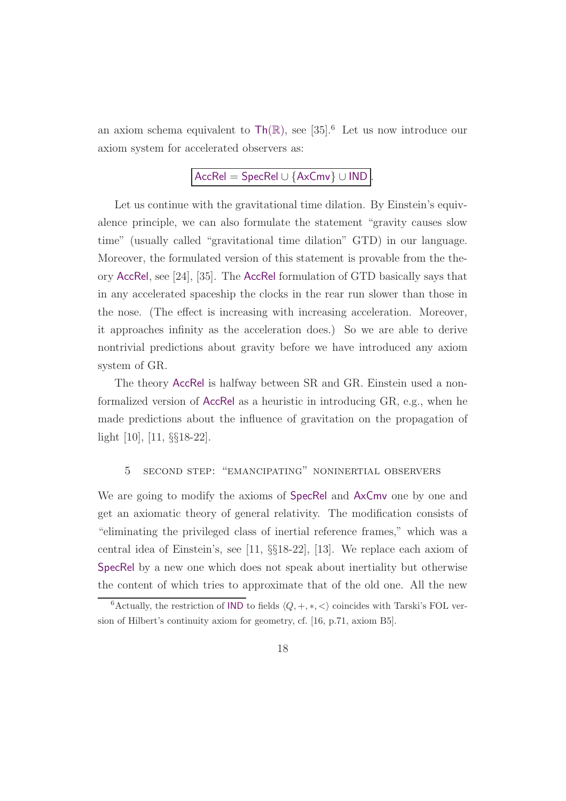an axiom schema equivalent to  $\text{Th}(\mathbb{R})$ , see [35].<sup>6</sup> Let us now introduce our axiom system for accelerated observers as:

# AccRel = SpecRel ∪ {AxCmv} ∪ IND .

Let us continue with the gravitational time dilation. By Einstein's equivalence principle, we can also formulate the statement "gravity causes slow time" (usually called "gravitational time dilation" GTD) in our language. Moreover, the formulated version of this statement is provable from the theory AccRel, see [24], [35]. The AccRel formulation of GTD basically says that in any accelerated spaceship the clocks in the rear run slower than those in the nose. (The effect is increasing with increasing acceleration. Moreover, it approaches infinity as the acceleration does.) So we are able to derive nontrivial predictions about gravity before we have introduced any axiom system of GR.

The theory AccRel is halfway between SR and GR. Einstein used a nonformalized version of AccRel as a heuristic in introducing GR, e.g., when he made predictions about the influence of gravitation on the propagation of light [10], [11, §§18-22].

## 5 second step: "emancipating" noninertial observers

We are going to modify the axioms of SpecRel and AxCmv one by one and get an axiomatic theory of general relativity. The modification consists of "eliminating the privileged class of inertial reference frames," which was a central idea of Einstein's, see [11, §§18-22], [13]. We replace each axiom of SpecRel by a new one which does not speak about inertiality but otherwise the content of which tries to approximate that of the old one. All the new

<sup>&</sup>lt;sup>6</sup>Actually, the restriction of IND to fields  $\langle Q, +, *, < \rangle$  coincides with Tarski's FOL version of Hilbert's continuity axiom for geometry, cf. [16, p.71, axiom B5].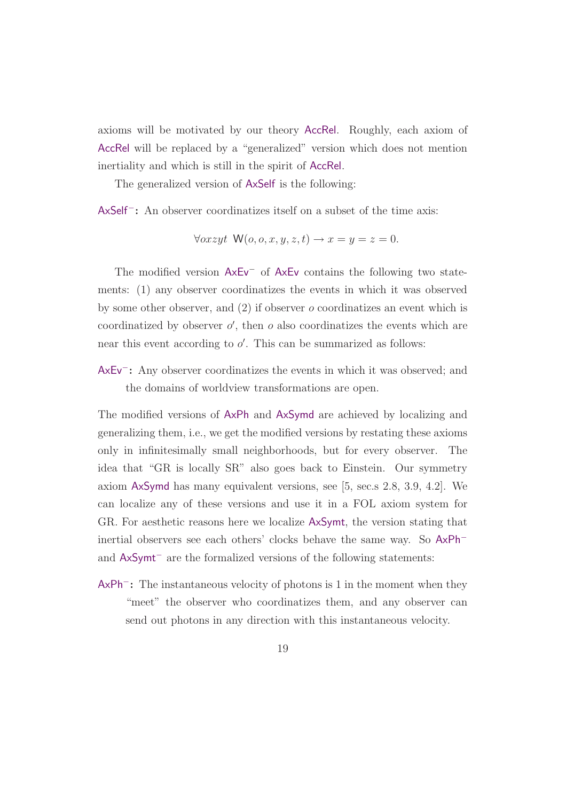axioms will be motivated by our theory AccRel. Roughly, each axiom of AccRel will be replaced by a "generalized" version which does not mention inertiality and which is still in the spirit of AccRel.

The generalized version of AxSelf is the following:

AxSelf<sup>−</sup>: An observer coordinatizes itself on a subset of the time axis:

$$
\forall \text{or } xyt \ \mathsf{W}(o, o, x, y, z, t) \rightarrow x = y = z = 0.
$$

The modified version AxEv<sup>−</sup> of AxEv contains the following two statements: (1) any observer coordinatizes the events in which it was observed by some other observer, and  $(2)$  if observer  $\sigma$  coordinatizes an event which is coordinatized by observer  $o'$ , then  $o$  also coordinatizes the events which are near this event according to  $o'$ . This can be summarized as follows:

AxEv<sup>−</sup>: Any observer coordinatizes the events in which it was observed; and the domains of worldview transformations are open.

The modified versions of AxPh and AxSymd are achieved by localizing and generalizing them, i.e., we get the modified versions by restating these axioms only in infinitesimally small neighborhoods, but for every observer. The idea that "GR is locally SR" also goes back to Einstein. Our symmetry axiom AxSymd has many equivalent versions, see [5, sec.s 2.8, 3.9, 4.2]. We can localize any of these versions and use it in a FOL axiom system for GR. For aesthetic reasons here we localize AxSymt, the version stating that inertial observers see each others' clocks behave the same way. So AxPh<sup>−</sup> and AxSymt<sup>−</sup> are the formalized versions of the following statements:

AxPh<sup>−</sup>: The instantaneous velocity of photons is 1 in the moment when they "meet" the observer who coordinatizes them, and any observer can send out photons in any direction with this instantaneous velocity.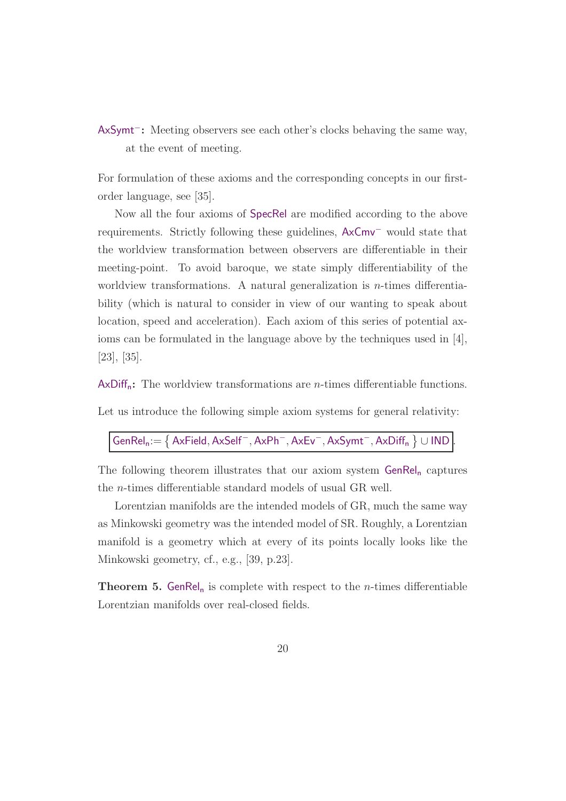AxSymt<sup>−</sup>: Meeting observers see each other's clocks behaving the same way, at the event of meeting.

For formulation of these axioms and the corresponding concepts in our firstorder language, see [35].

Now all the four axioms of SpecRel are modified according to the above requirements. Strictly following these guidelines, AxCmv<sup>−</sup> would state that the worldview transformation between observers are differentiable in their meeting-point. To avoid baroque, we state simply differentiability of the worldview transformations. A natural generalization is  $n$ -times differentiability (which is natural to consider in view of our wanting to speak about location, speed and acceleration). Each axiom of this series of potential axioms can be formulated in the language above by the techniques used in [4], [23], [35].

 $AxDiff_n:$  The worldview transformations are *n*-times differentiable functions.

Let us introduce the following simple axiom systems for general relativity:

 $\mathsf{GenRel_n} {:=} \left\{ \mathsf{AxField}, \mathsf{AxSelf}^-, \mathsf{AxPh}^-, \mathsf{AxEv}^-, \mathsf{AxSymt}^-, \mathsf{AxDiff}_n \left.\right\} \cup \mathsf{IND} \right\}$ 

The following theorem illustrates that our axiom system  $GenRel_n$  captures the n-times differentiable standard models of usual GR well.

Lorentzian manifolds are the intended models of GR, much the same way as Minkowski geometry was the intended model of SR. Roughly, a Lorentzian manifold is a geometry which at every of its points locally looks like the Minkowski geometry, cf., e.g., [39, p.23].

**Theorem 5. GenRel**<sub>n</sub> is complete with respect to the *n*-times differentiable Lorentzian manifolds over real-closed fields.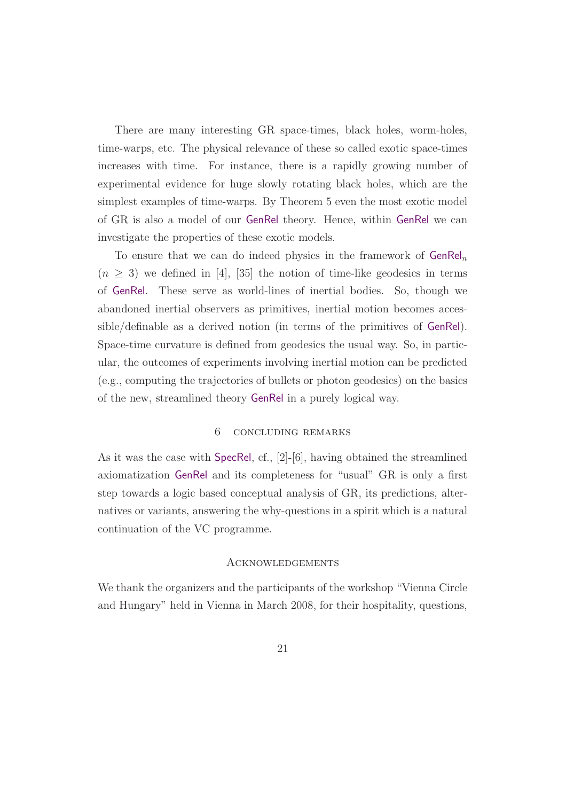There are many interesting GR space-times, black holes, worm-holes, time-warps, etc. The physical relevance of these so called exotic space-times increases with time. For instance, there is a rapidly growing number of experimental evidence for huge slowly rotating black holes, which are the simplest examples of time-warps. By Theorem 5 even the most exotic model of GR is also a model of our GenRel theory. Hence, within GenRel we can investigate the properties of these exotic models.

To ensure that we can do indeed physics in the framework of  $GenRel_n$  $(n \geq 3)$  we defined in [4], [35] the notion of time-like geodesics in terms of GenRel. These serve as world-lines of inertial bodies. So, though we abandoned inertial observers as primitives, inertial motion becomes accessible/definable as a derived notion (in terms of the primitives of GenRel). Space-time curvature is defined from geodesics the usual way. So, in particular, the outcomes of experiments involving inertial motion can be predicted (e.g., computing the trajectories of bullets or photon geodesics) on the basics of the new, streamlined theory GenRel in a purely logical way.

# 6 concluding remarks

As it was the case with SpecRel, cf., [2]-[6], having obtained the streamlined axiomatization GenRel and its completeness for "usual" GR is only a first step towards a logic based conceptual analysis of GR, its predictions, alternatives or variants, answering the why-questions in a spirit which is a natural continuation of the VC programme.

#### Acknowledgements

We thank the organizers and the participants of the workshop "Vienna Circle and Hungary" held in Vienna in March 2008, for their hospitality, questions,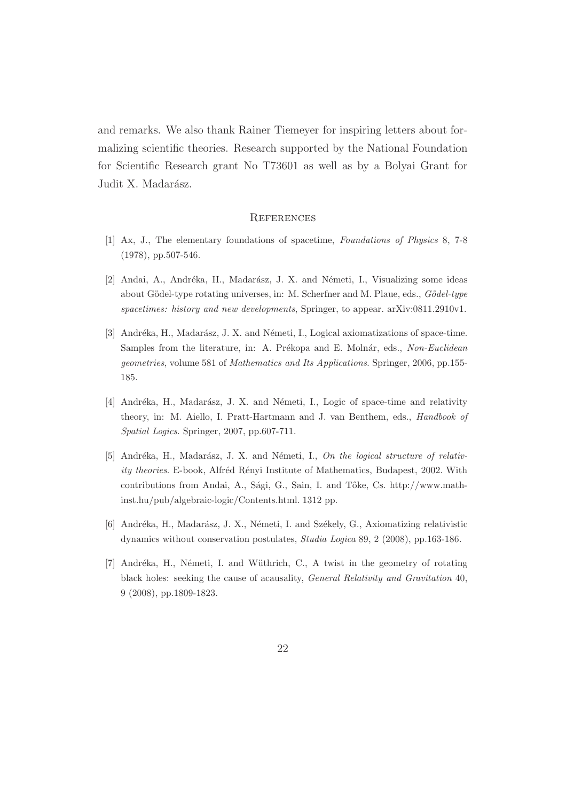and remarks. We also thank Rainer Tiemeyer for inspiring letters about formalizing scientific theories. Research supported by the National Foundation for Scientific Research grant No T73601 as well as by a Bolyai Grant for Judit X. Madarász.

#### **REFERENCES**

- [1] Ax, J., The elementary foundations of spacetime, *Foundations of Physics* 8, 7-8 (1978), pp.507-546.
- [2] Andai, A., Andréka, H., Madarász, J. X. and Németi, I., Visualizing some ideas about Gödel-type rotating universes, in: M. Scherfner and M. Plaue, eds., *Gödel-type spacetimes: history and new developments*, Springer, to appear. arXiv:0811.2910v1.
- [3] Andréka, H., Madarász, J. X. and Németi, I., Logical axiomatizations of space-time. Samples from the literature, in: A. Prékopa and E. Molnár, eds., *Non-Euclidean geometries*, volume 581 of *Mathematics and Its Applications*. Springer, 2006, pp.155- 185.
- [4] Andréka, H., Madarász, J. X. and Németi, I., Logic of space-time and relativity theory, in: M. Aiello, I. Pratt-Hartmann and J. van Benthem, eds., *Handbook of Spatial Logics*. Springer, 2007, pp.607-711.
- [5] Andréka, H., Madarász, J. X. and Németi, I., *On the logical structure of relativity theories*. E-book, Alfréd Rényi Institute of Mathematics, Budapest, 2002. With contributions from Andai, A., Sági, G., Sain, I. and Tőke, Cs. http://www.mathinst.hu/pub/algebraic-logic/Contents.html. 1312 pp.
- [6] Andréka, H., Madarász, J. X., Németi, I. and Székely, G., Axiomatizing relativistic dynamics without conservation postulates, *Studia Logica* 89, 2 (2008), pp.163-186.
- [7] Andréka, H., Németi, I. and Wüthrich, C., A twist in the geometry of rotating black holes: seeking the cause of acausality, *General Relativity and Gravitation* 40, 9 (2008), pp.1809-1823.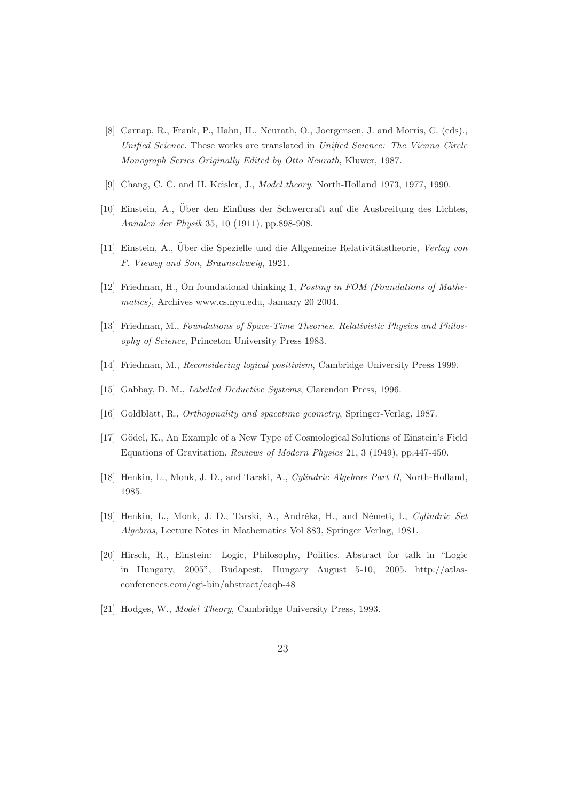- [8] Carnap, R., Frank, P., Hahn, H., Neurath, O., Joergensen, J. and Morris, C. (eds)., *Unified Science*. These works are translated in *Unified Science: The Vienna Circle Monograph Series Originally Edited by Otto Neurath*, Kluwer, 1987.
- [9] Chang, C. C. and H. Keisler, J., *Model theory*. North-Holland 1973, 1977, 1990.
- [10] Einstein, A., Über den Einfluss der Schwercraft auf die Ausbreitung des Lichtes, *Annalen der Physik* 35, 10 (1911), pp.898-908.
- [11] Einstein, A., Über die Spezielle und die Allgemeine Relativitätstheorie, *Verlag von F. Vieweg and Son, Braunschweig*, 1921.
- [12] Friedman, H., On foundational thinking 1, *Posting in FOM (Foundations of Mathematics)*, Archives www.cs.nyu.edu, January 20 2004.
- [13] Friedman, M., *Foundations of Space-Time Theories. Relativistic Physics and Philosophy of Science*, Princeton University Press 1983.
- [14] Friedman, M., *Reconsidering logical positivism*, Cambridge University Press 1999.
- [15] Gabbay, D. M., *Labelled Deductive Systems*, Clarendon Press, 1996.
- [16] Goldblatt, R., *Orthogonality and spacetime geometry*, Springer-Verlag, 1987.
- [17] Gödel, K., An Example of a New Type of Cosmological Solutions of Einstein's Field Equations of Gravitation, *Reviews of Modern Physics* 21, 3 (1949), pp.447-450.
- [18] Henkin, L., Monk, J. D., and Tarski, A., *Cylindric Algebras Part II*, North-Holland, 1985.
- [19] Henkin, L., Monk, J. D., Tarski, A., Andréka, H., and Németi, I., *Cylindric Set Algebras*, Lecture Notes in Mathematics Vol 883, Springer Verlag, 1981.
- [20] Hirsch, R., Einstein: Logic, Philosophy, Politics. Abstract for talk in "Logic in Hungary, 2005", Budapest, Hungary August 5-10, 2005. http://atlasconferences.com/cgi-bin/abstract/caqb-48
- [21] Hodges, W., *Model Theory*, Cambridge University Press, 1993.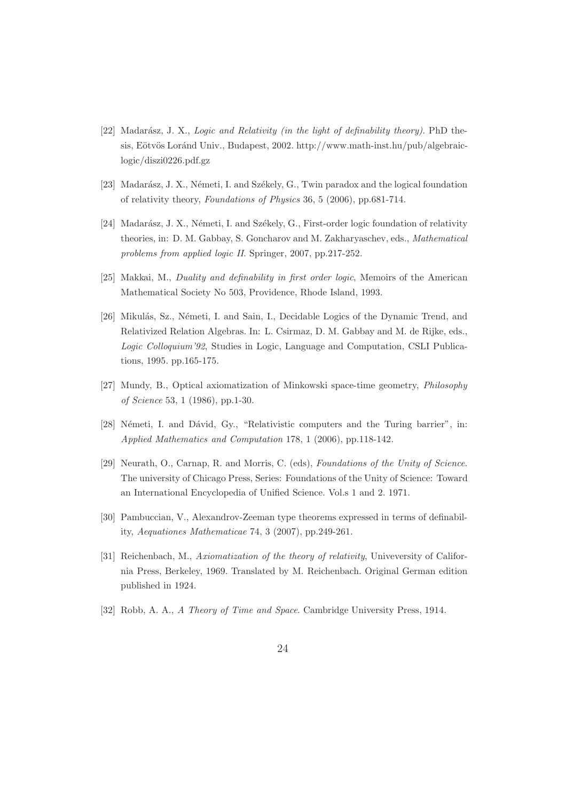- [22] Madarász, J. X., *Logic and Relativity (in the light of definability theory)*. PhD thesis, Eötvös Loránd Univ., Budapest, 2002. http://www.math-inst.hu/pub/algebraiclogic/diszi0226.pdf.gz
- [23] Madarász, J. X., Németi, I. and Székely, G., Twin paradox and the logical foundation of relativity theory, *Foundations of Physics* 36, 5 (2006), pp.681-714.
- [24] Madarász, J. X., Németi, I. and Székely, G., First-order logic foundation of relativity theories, in: D. M. Gabbay, S. Goncharov and M. Zakharyaschev, eds., *Mathematical problems from applied logic II*. Springer, 2007, pp.217-252.
- [25] Makkai, M., *Duality and definability in first order logic*, Memoirs of the American Mathematical Society No 503, Providence, Rhode Island, 1993.
- [26] Mikulás, Sz., Németi, I. and Sain, I., Decidable Logics of the Dynamic Trend, and Relativized Relation Algebras. In: L. Csirmaz, D. M. Gabbay and M. de Rijke, eds., *Logic Colloquium'92*, Studies in Logic, Language and Computation, CSLI Publications, 1995. pp.165-175.
- [27] Mundy, B., Optical axiomatization of Minkowski space-time geometry, *Philosophy of Science* 53, 1 (1986), pp.1-30.
- [28] Németi, I. and Dávid, Gy., "Relativistic computers and the Turing barrier", in: *Applied Mathematics and Computation* 178, 1 (2006), pp.118-142.
- [29] Neurath, O., Carnap, R. and Morris, C. (eds), *Foundations of the Unity of Science*. The university of Chicago Press, Series: Foundations of the Unity of Science: Toward an International Encyclopedia of Unified Science. Vol.s 1 and 2. 1971.
- [30] Pambuccian, V., Alexandrov-Zeeman type theorems expressed in terms of definability, *Aequationes Mathematicae* 74, 3 (2007), pp.249-261.
- [31] Reichenbach, M., *Axiomatization of the theory of relativity*, Univeversity of California Press, Berkeley, 1969. Translated by M. Reichenbach. Original German edition published in 1924.
- [32] Robb, A. A., *A Theory of Time and Space*. Cambridge University Press, 1914.